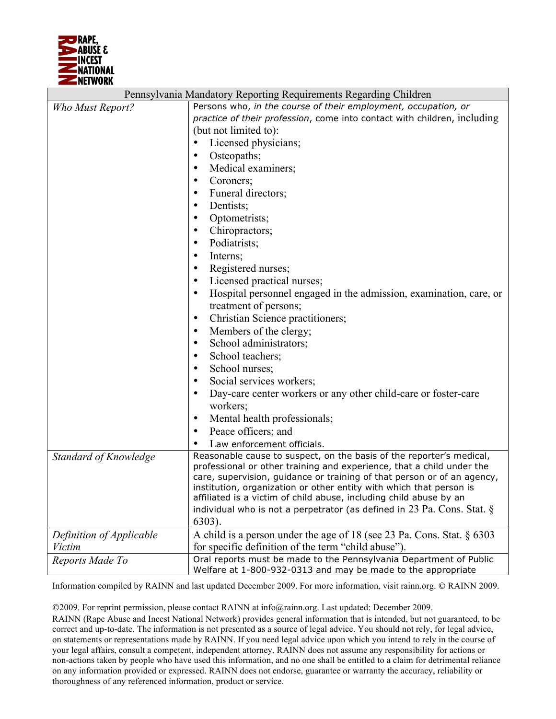

| Pennsylvania Mandatory Reporting Requirements Regarding Children |                                                                                                                                    |  |
|------------------------------------------------------------------|------------------------------------------------------------------------------------------------------------------------------------|--|
| Who Must Report?                                                 | Persons who, in the course of their employment, occupation, or                                                                     |  |
|                                                                  | practice of their profession, come into contact with children, including                                                           |  |
|                                                                  | (but not limited to):                                                                                                              |  |
|                                                                  | Licensed physicians;                                                                                                               |  |
|                                                                  | Osteopaths;<br>$\bullet$                                                                                                           |  |
|                                                                  | Medical examiners;<br>$\bullet$                                                                                                    |  |
|                                                                  | Coroners;<br>$\bullet$                                                                                                             |  |
|                                                                  | Funeral directors;                                                                                                                 |  |
|                                                                  | Dentists;                                                                                                                          |  |
|                                                                  | Optometrists;<br>$\bullet$                                                                                                         |  |
|                                                                  | Chiropractors;<br>$\bullet$                                                                                                        |  |
|                                                                  | Podiatrists;<br>$\bullet$                                                                                                          |  |
|                                                                  | Interns;<br>$\bullet$                                                                                                              |  |
|                                                                  | Registered nurses;                                                                                                                 |  |
|                                                                  | Licensed practical nurses;                                                                                                         |  |
|                                                                  | Hospital personnel engaged in the admission, examination, care, or                                                                 |  |
|                                                                  | treatment of persons;                                                                                                              |  |
|                                                                  | Christian Science practitioners;<br>$\bullet$                                                                                      |  |
|                                                                  | Members of the clergy;<br>$\bullet$                                                                                                |  |
|                                                                  | School administrators;<br>$\bullet$                                                                                                |  |
|                                                                  | School teachers;<br>$\bullet$                                                                                                      |  |
|                                                                  | School nurses;<br>٠                                                                                                                |  |
|                                                                  | Social services workers;<br>$\bullet$                                                                                              |  |
|                                                                  | Day-care center workers or any other child-care or foster-care                                                                     |  |
|                                                                  | workers;                                                                                                                           |  |
|                                                                  | Mental health professionals;<br>$\bullet$                                                                                          |  |
|                                                                  | Peace officers; and<br>$\bullet$                                                                                                   |  |
|                                                                  | Law enforcement officials.                                                                                                         |  |
| Standard of Knowledge                                            | Reasonable cause to suspect, on the basis of the reporter's medical,                                                               |  |
|                                                                  | professional or other training and experience, that a child under the                                                              |  |
|                                                                  | care, supervision, guidance or training of that person or of an agency,                                                            |  |
|                                                                  | institution, organization or other entity with which that person is                                                                |  |
|                                                                  | affiliated is a victim of child abuse, including child abuse by an                                                                 |  |
|                                                                  | individual who is not a perpetrator (as defined in 23 Pa. Cons. Stat. $\S$                                                         |  |
|                                                                  | $6303$ ).                                                                                                                          |  |
| Definition of Applicable                                         | A child is a person under the age of 18 (see 23 Pa. Cons. Stat. § 6303                                                             |  |
| <b>Victim</b>                                                    | for specific definition of the term "child abuse").                                                                                |  |
| Reports Made To                                                  | Oral reports must be made to the Pennsylvania Department of Public<br>Welfare at 1-800-932-0313 and may be made to the appropriate |  |
|                                                                  |                                                                                                                                    |  |

Information compiled by RAINN and last updated December 2009. For more information, visit rainn.org. © RAINN 2009.

2009. For reprint permission, please contact RAINN at info@rainn.org. Last updated: December 2009.

RAINN (Rape Abuse and Incest National Network) provides general information that is intended, but not guaranteed, to be correct and up-to-date. The information is not presented as a source of legal advice. You should not rely, for legal advice, on statements or representations made by RAINN. If you need legal advice upon which you intend to rely in the course of your legal affairs, consult a competent, independent attorney. RAINN does not assume any responsibility for actions or non-actions taken by people who have used this information, and no one shall be entitled to a claim for detrimental reliance on any information provided or expressed. RAINN does not endorse, guarantee or warranty the accuracy, reliability or thoroughness of any referenced information, product or service.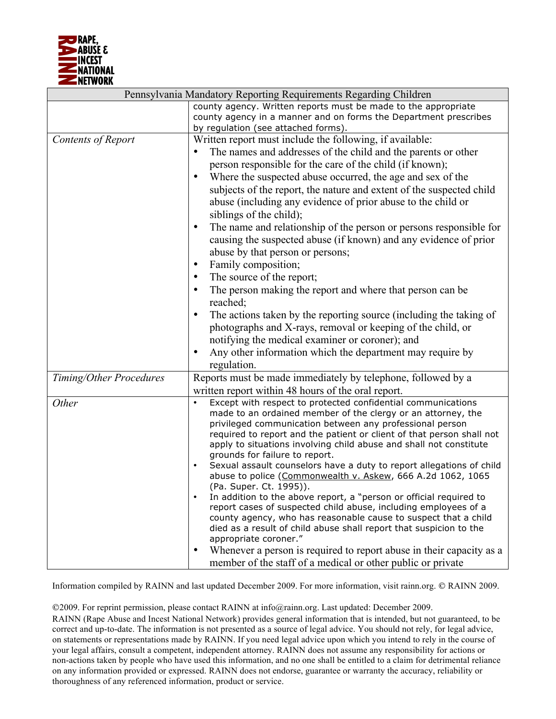

|                         | Pennsylvania Mandatory Reporting Requirements Regarding Children                       |  |  |
|-------------------------|----------------------------------------------------------------------------------------|--|--|
|                         | county agency. Written reports must be made to the appropriate                         |  |  |
|                         | county agency in a manner and on forms the Department prescribes                       |  |  |
|                         | by regulation (see attached forms).                                                    |  |  |
| Contents of Report      | Written report must include the following, if available:                               |  |  |
|                         | The names and addresses of the child and the parents or other                          |  |  |
|                         | person responsible for the care of the child (if known);                               |  |  |
|                         | Where the suspected abuse occurred, the age and sex of the<br>$\bullet$                |  |  |
|                         | subjects of the report, the nature and extent of the suspected child                   |  |  |
|                         | abuse (including any evidence of prior abuse to the child or                           |  |  |
|                         | siblings of the child);                                                                |  |  |
|                         | The name and relationship of the person or persons responsible for<br>$\bullet$        |  |  |
|                         | causing the suspected abuse (if known) and any evidence of prior                       |  |  |
|                         | abuse by that person or persons;                                                       |  |  |
|                         | Family composition;<br>$\bullet$                                                       |  |  |
|                         | The source of the report;<br>$\bullet$                                                 |  |  |
|                         | The person making the report and where that person can be<br>$\bullet$                 |  |  |
|                         | reached;                                                                               |  |  |
|                         | The actions taken by the reporting source (including the taking of<br>$\bullet$        |  |  |
|                         | photographs and X-rays, removal or keeping of the child, or                            |  |  |
|                         | notifying the medical examiner or coroner); and                                        |  |  |
|                         | Any other information which the department may require by<br>$\bullet$                 |  |  |
|                         | regulation.                                                                            |  |  |
| Timing/Other Procedures | Reports must be made immediately by telephone, followed by a                           |  |  |
|                         | written report within 48 hours of the oral report.                                     |  |  |
| Other                   | Except with respect to protected confidential communications<br>$\bullet$              |  |  |
|                         | made to an ordained member of the clergy or an attorney, the                           |  |  |
|                         | privileged communication between any professional person                               |  |  |
|                         | required to report and the patient or client of that person shall not                  |  |  |
|                         | apply to situations involving child abuse and shall not constitute                     |  |  |
|                         | grounds for failure to report.                                                         |  |  |
|                         | Sexual assault counselors have a duty to report allegations of child                   |  |  |
|                         | abuse to police (Commonwealth v. Askew, 666 A.2d 1062, 1065<br>(Pa. Super. Ct. 1995)). |  |  |
|                         | In addition to the above report, a "person or official required to                     |  |  |
|                         | report cases of suspected child abuse, including employees of a                        |  |  |
|                         | county agency, who has reasonable cause to suspect that a child                        |  |  |
|                         | died as a result of child abuse shall report that suspicion to the                     |  |  |
|                         | appropriate coroner."                                                                  |  |  |
|                         | Whenever a person is required to report abuse in their capacity as a<br>$\bullet$      |  |  |
|                         | member of the staff of a medical or other public or private                            |  |  |

Information compiled by RAINN and last updated December 2009. For more information, visit rainn.org. © RAINN 2009.

2009. For reprint permission, please contact RAINN at info@rainn.org. Last updated: December 2009.

RAINN (Rape Abuse and Incest National Network) provides general information that is intended, but not guaranteed, to be correct and up-to-date. The information is not presented as a source of legal advice. You should not rely, for legal advice, on statements or representations made by RAINN. If you need legal advice upon which you intend to rely in the course of your legal affairs, consult a competent, independent attorney. RAINN does not assume any responsibility for actions or non-actions taken by people who have used this information, and no one shall be entitled to a claim for detrimental reliance on any information provided or expressed. RAINN does not endorse, guarantee or warranty the accuracy, reliability or thoroughness of any referenced information, product or service.